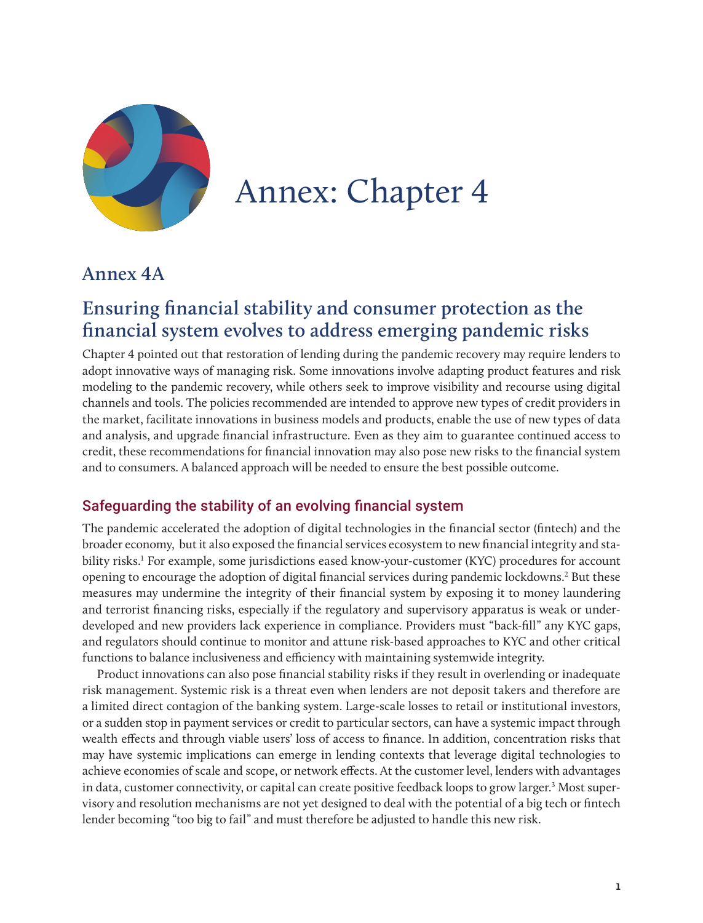

# Annex: Chapter 4

## **Annex 4A**

# **Ensuring financial stability and consumer protection as the financial system evolves to address emerging pandemic risks**

Chapter 4 pointed out that restoration of lending during the pandemic recovery may require lenders to adopt innovative ways of managing risk. Some innovations involve adapting product features and risk modeling to the pandemic recovery, while others seek to improve visibility and recourse using digital channels and tools. The policies recommended are intended to approve new types of credit providers in the market, facilitate innovations in business models and products, enable the use of new types of data and analysis, and upgrade financial infrastructure. Even as they aim to guarantee continued access to credit, these recommendations for financial innovation may also pose new risks to the financial system and to consumers. A balanced approach will be needed to ensure the best possible outcome.

### Safeguarding the stability of an evolving financial system

The pandemic accelerated the adoption of digital technologies in the financial sector (fintech) and the broader economy, but it also exposed the financial services ecosystem to new financial integrity and stability risks.<sup>1</sup> For example, some jurisdictions eased know-your-customer (KYC) procedures for account opening to encourage the adoption of digital financial services during pandemic lockdowns.<sup>2</sup> But these measures may undermine the integrity of their financial system by exposing it to money laundering and terrorist financing risks, especially if the regulatory and supervisory apparatus is weak or underdeveloped and new providers lack experience in compliance. Providers must "back-fill" any KYC gaps, and regulators should continue to monitor and attune risk-based approaches to KYC and other critical functions to balance inclusiveness and efficiency with maintaining systemwide integrity.

Product innovations can also pose financial stability risks if they result in overlending or inadequate risk management. Systemic risk is a threat even when lenders are not deposit takers and therefore are a limited direct contagion of the banking system. Large-scale losses to retail or institutional investors, or a sudden stop in payment services or credit to particular sectors, can have a systemic impact through wealth effects and through viable users' loss of access to finance. In addition, concentration risks that may have systemic implications can emerge in lending contexts that leverage digital technologies to achieve economies of scale and scope, or network effects. At the customer level, lenders with advantages in data, customer connectivity, or capital can create positive feedback loops to grow larger.<sup>3</sup> Most supervisory and resolution mechanisms are not yet designed to deal with the potential of a big tech or fintech lender becoming "too big to fail" and must therefore be adjusted to handle this new risk.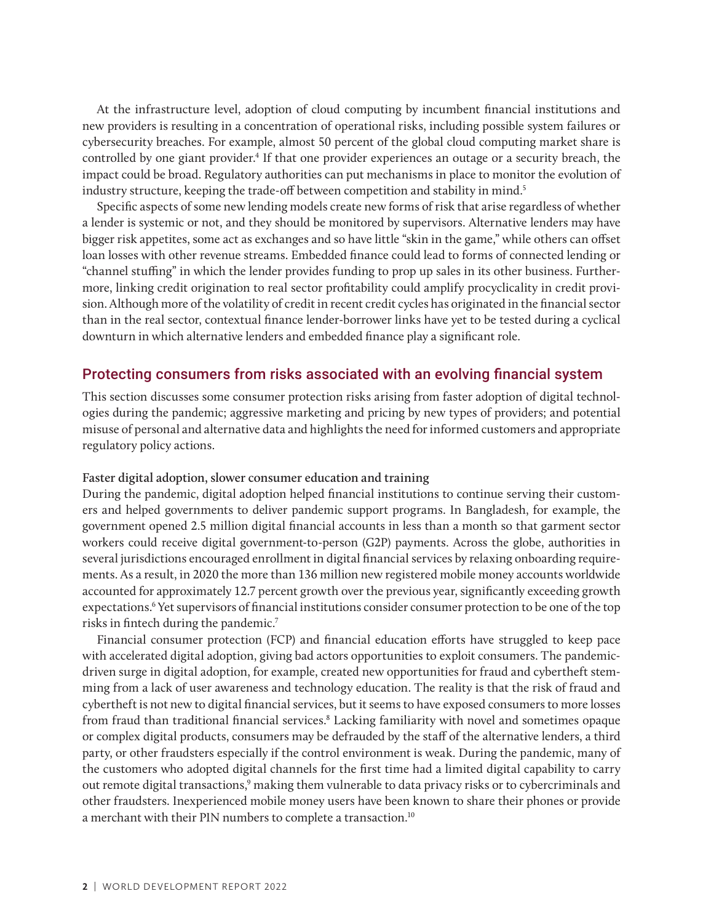At the infrastructure level, adoption of cloud computing by incumbent financial institutions and new providers is resulting in a concentration of operational risks, including possible system failures or cybersecurity breaches. For example, almost 50 percent of the global cloud computing market share is controlled by one giant provider.<sup>4</sup> If that one provider experiences an outage or a security breach, the impact could be broad. Regulatory authorities can put mechanisms in place to monitor the evolution of industry structure, keeping the trade-off between competition and stability in mind.<sup>5</sup>

Specific aspects of some new lending models create new forms of risk that arise regardless of whether a lender is systemic or not, and they should be monitored by supervisors. Alternative lenders may have bigger risk appetites, some act as exchanges and so have little "skin in the game," while others can offset loan losses with other revenue streams. Embedded finance could lead to forms of connected lending or "channel stuffing" in which the lender provides funding to prop up sales in its other business. Furthermore, linking credit origination to real sector profitability could amplify procyclicality in credit provision. Although more of the volatility of credit in recent credit cycles has originated in the financial sector than in the real sector, contextual finance lender-borrower links have yet to be tested during a cyclical downturn in which alternative lenders and embedded finance play a significant role.

#### Protecting consumers from risks associated with an evolving financial system

This section discusses some consumer protection risks arising from faster adoption of digital technologies during the pandemic; aggressive marketing and pricing by new types of providers; and potential misuse of personal and alternative data and highlights the need for informed customers and appropriate regulatory policy actions.

#### **Faster digital adoption, slower consumer education and training**

During the pandemic, digital adoption helped financial institutions to continue serving their customers and helped governments to deliver pandemic support programs. In Bangladesh, for example, the government opened 2.5 million digital financial accounts in less than a month so that garment sector workers could receive digital government-to-person (G2P) payments. Across the globe, authorities in several jurisdictions encouraged enrollment in digital financial services by relaxing onboarding requirements. As a result, in 2020 the more than 136 million new registered mobile money accounts worldwide accounted for approximately 12.7 percent growth over the previous year, significantly exceeding growth expectations.<sup>6</sup> Yet supervisors of financial institutions consider consumer protection to be one of the top risks in fintech during the pandemic.7

Financial consumer protection (FCP) and financial education efforts have struggled to keep pace with accelerated digital adoption, giving bad actors opportunities to exploit consumers. The pandemicdriven surge in digital adoption, for example, created new opportunities for fraud and cybertheft stemming from a lack of user awareness and technology education. The reality is that the risk of fraud and cybertheft is not new to digital financial services, but it seems to have exposed consumers to more losses from fraud than traditional financial services.<sup>8</sup> Lacking familiarity with novel and sometimes opaque or complex digital products, consumers may be defrauded by the staff of the alternative lenders, a third party, or other fraudsters especially if the control environment is weak. During the pandemic, many of the customers who adopted digital channels for the first time had a limited digital capability to carry out remote digital transactions,<sup>9</sup> making them vulnerable to data privacy risks or to cybercriminals and other fraudsters. Inexperienced mobile money users have been known to share their phones or provide a merchant with their PIN numbers to complete a transaction.<sup>10</sup>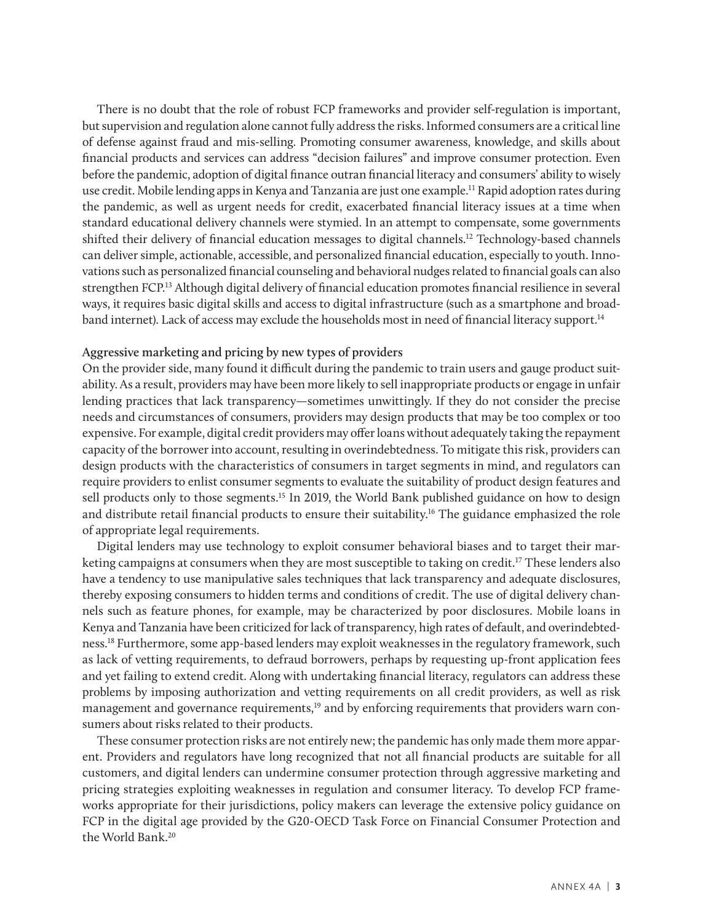There is no doubt that the role of robust FCP frameworks and provider self-regulation is important, but supervision and regulation alone cannot fully address the risks. Informed consumers are a critical line of defense against fraud and mis-selling. Promoting consumer awareness, knowledge, and skills about financial products and services can address "decision failures" and improve consumer protection. Even before the pandemic, adoption of digital finance outran financial literacy and consumers' ability to wisely use credit. Mobile lending apps in Kenya and Tanzania are just one example.11 Rapid adoption rates during the pandemic, as well as urgent needs for credit, exacerbated financial literacy issues at a time when standard educational delivery channels were stymied. In an attempt to compensate, some governments shifted their delivery of financial education messages to digital channels.12 Technology-based channels can deliver simple, actionable, accessible, and personalized financial education, especially to youth. Innovations such as personalized financial counseling and behavioral nudges related to financial goals can also strengthen FCP.13 Although digital delivery of financial education promotes financial resilience in several ways, it requires basic digital skills and access to digital infrastructure (such as a smartphone and broadband internet). Lack of access may exclude the households most in need of financial literacy support.14

#### **Aggressive marketing and pricing by new types of providers**

On the provider side, many found it difficult during the pandemic to train users and gauge product suitability. As a result, providers may have been more likely to sell inappropriate products or engage in unfair lending practices that lack transparency—sometimes unwittingly. If they do not consider the precise needs and circumstances of consumers, providers may design products that may be too complex or too expensive. For example, digital credit providers may offer loans without adequately taking the repayment capacity of the borrower into account, resulting in overindebtedness. To mitigate this risk, providers can design products with the characteristics of consumers in target segments in mind, and regulators can require providers to enlist consumer segments to evaluate the suitability of product design features and sell products only to those segments.<sup>15</sup> In 2019, the World Bank published guidance on how to design and distribute retail financial products to ensure their suitability.16 The guidance emphasized the role of appropriate legal requirements.

Digital lenders may use technology to exploit consumer behavioral biases and to target their marketing campaigns at consumers when they are most susceptible to taking on credit.<sup>17</sup> These lenders also have a tendency to use manipulative sales techniques that lack transparency and adequate disclosures, thereby exposing consumers to hidden terms and conditions of credit. The use of digital delivery channels such as feature phones, for example, may be characterized by poor disclosures. Mobile loans in Kenya and Tanzania have been criticized for lack of transparency, high rates of default, and overindebtedness.18 Furthermore, some app-based lenders may exploit weaknesses in the regulatory framework, such as lack of vetting requirements, to defraud borrowers, perhaps by requesting up-front application fees and yet failing to extend credit. Along with undertaking financial literacy, regulators can address these problems by imposing authorization and vetting requirements on all credit providers, as well as risk management and governance requirements,<sup>19</sup> and by enforcing requirements that providers warn consumers about risks related to their products.

These consumer protection risks are not entirely new; the pandemic has only made them more apparent. Providers and regulators have long recognized that not all financial products are suitable for all customers, and digital lenders can undermine consumer protection through aggressive marketing and pricing strategies exploiting weaknesses in regulation and consumer literacy. To develop FCP frameworks appropriate for their jurisdictions, policy makers can leverage the extensive policy guidance on FCP in the digital age provided by the G20-OECD Task Force on Financial Consumer Protection and the World Bank<sup>20</sup>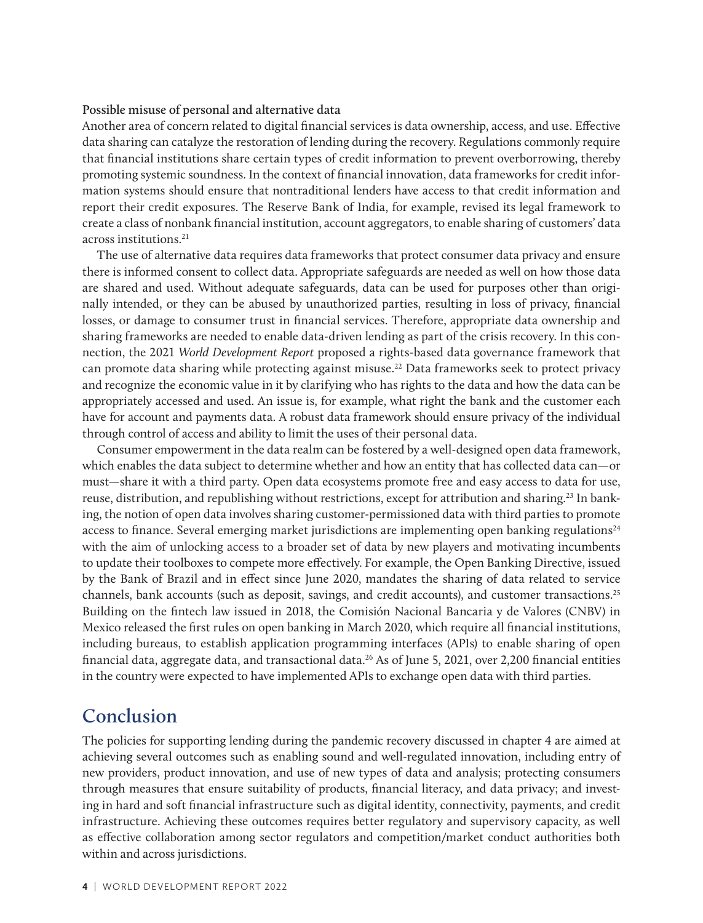#### **Possible misuse of personal and alternative data**

Another area of concern related to digital financial services is data ownership, access, and use. Effective data sharing can catalyze the restoration of lending during the recovery. Regulations commonly require that financial institutions share certain types of credit information to prevent overborrowing, thereby promoting systemic soundness. In the context of financial innovation, data frameworks for credit information systems should ensure that nontraditional lenders have access to that credit information and report their credit exposures. The Reserve Bank of India, for example, revised its legal framework to create a class of nonbank financial institution, account aggregators, to enable sharing of customers' data across institutions.<sup>21</sup>

The use of alternative data requires data frameworks that protect consumer data privacy and ensure there is informed consent to collect data. Appropriate safeguards are needed as well on how those data are shared and used. Without adequate safeguards, data can be used for purposes other than originally intended, or they can be abused by unauthorized parties, resulting in loss of privacy, financial losses, or damage to consumer trust in financial services. Therefore, appropriate data ownership and sharing frameworks are needed to enable data-driven lending as part of the crisis recovery. In this connection, the 2021 *World Development Report* proposed a rights-based data governance framework that can promote data sharing while protecting against misuse.22 Data frameworks seek to protect privacy and recognize the economic value in it by clarifying who has rights to the data and how the data can be appropriately accessed and used. An issue is, for example, what right the bank and the customer each have for account and payments data. A robust data framework should ensure privacy of the individual through control of access and ability to limit the uses of their personal data.

Consumer empowerment in the data realm can be fostered by a well-designed open data framework, which enables the data subject to determine whether and how an entity that has collected data can—or must—share it with a third party. Open data ecosystems promote free and easy access to data for use, reuse, distribution, and republishing without restrictions, except for attribution and sharing.<sup>23</sup> In banking, the notion of open data involves sharing customer-permissioned data with third parties to promote access to finance. Several emerging market jurisdictions are implementing open banking regulations $24$ with the aim of unlocking access to a broader set of data by new players and motivating incumbents to update their toolboxes to compete more effectively. For example, the Open Banking Directive, issued by the Bank of Brazil and in effect since June 2020, mandates the sharing of data related to service channels, bank accounts (such as deposit, savings, and credit accounts), and customer transactions.25 Building on the fintech law issued in 2018, the Comisión Nacional Bancaria y de Valores (CNBV) in Mexico released the first rules on open banking in March 2020, which require all financial institutions, including bureaus, to establish application programming interfaces (APIs) to enable sharing of open financial data, aggregate data, and transactional data.26 As of June 5, 2021, over 2,200 financial entities in the country were expected to have implemented APIs to exchange open data with third parties.

### **Conclusion**

The policies for supporting lending during the pandemic recovery discussed in chapter 4 are aimed at achieving several outcomes such as enabling sound and well-regulated innovation, including entry of new providers, product innovation, and use of new types of data and analysis; protecting consumers through measures that ensure suitability of products, financial literacy, and data privacy; and investing in hard and soft financial infrastructure such as digital identity, connectivity, payments, and credit infrastructure. Achieving these outcomes requires better regulatory and supervisory capacity, as well as effective collaboration among sector regulators and competition/market conduct authorities both within and across jurisdictions.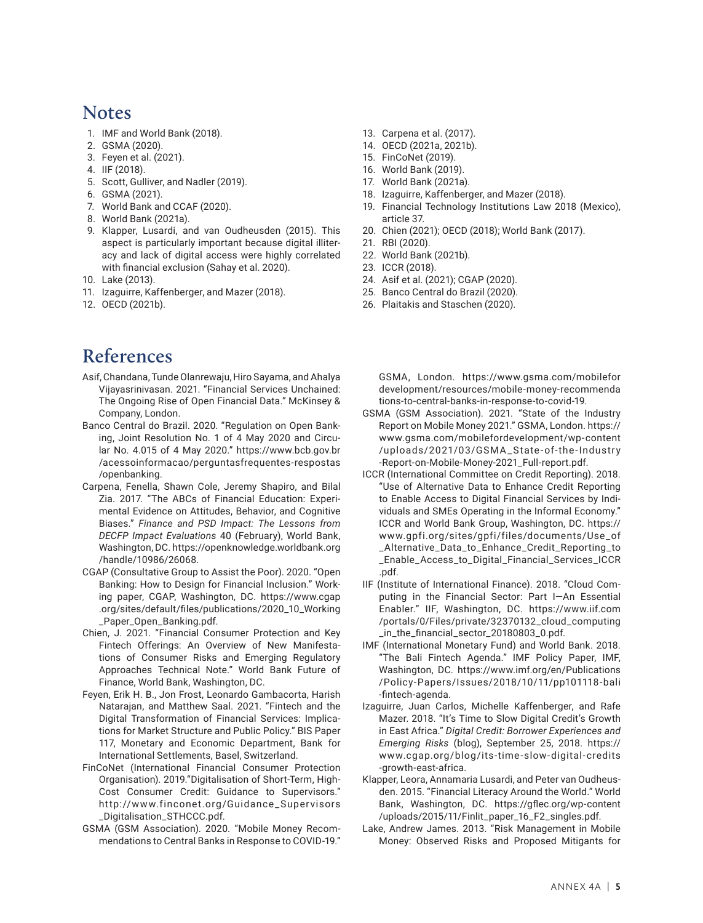### **Notes**

- 1. IMF and World Bank (2018).
- 2. GSMA (2020).
- 3. Feyen et al. (2021).
- 4. IIF (2018).
- 5. Scott, Gulliver, and Nadler (2019).
- 6. GSMA (2021).
- 7. World Bank and CCAF (2020).
- 8. World Bank (2021a).
- 9. Klapper, Lusardi, and van Oudheusden (2015). This aspect is particularly important because digital illiteracy and lack of digital access were highly correlated with financial exclusion (Sahay et al. 2020).
- 10. Lake (2013).
- 11. Izaguirre, Kaffenberger, and Mazer (2018).
- 12. OECD (2021b).

# **References**

- Asif, Chandana, Tunde Olanrewaju, Hiro Sayama, and Ahalya Vijayasrinivasan. 2021. "Financial Services Unchained: The Ongoing Rise of Open Financial Data." McKinsey & Company, London.
- Banco Central do Brazil. 2020. "Regulation on Open Banking, Joint Resolution No. 1 of 4 May 2020 and Circular No. 4.015 of 4 May 2020." [https://www.bcb.gov.br](https://www.bcb.gov.br/acessoinformacao/perguntasfrequentes-respostas/openbanking) [/acessoinformacao/perguntasfrequentes-respostas](https://www.bcb.gov.br/acessoinformacao/perguntasfrequentes-respostas/openbanking) [/openbanking.](https://www.bcb.gov.br/acessoinformacao/perguntasfrequentes-respostas/openbanking)
- Carpena, Fenella, Shawn Cole, Jeremy Shapiro, and Bilal Zia. 2017. "The ABCs of Financial Education: Experimental Evidence on Attitudes, Behavior, and Cognitive Biases." *Finance and PSD Impact: The Lessons from DECFP Impact Evaluations* 40 (February), World Bank, Washington, DC. [https://openknowledge.worldbank.org](https://openknowledge.worldbank.org/handle/10986/26068) [/handle/10986/26068](https://openknowledge.worldbank.org/handle/10986/26068).
- CGAP (Consultative Group to Assist the Poor). 2020. "Open Banking: How to Design for Financial Inclusion." Working paper, CGAP, Washington, DC. [https://www.cgap](https://www.cgap.org/sites/default/files/publications/2020_10_Working_Paper_Open_Banking.pdf) [.org/sites/default/files/publications/2020\\_10\\_Working](https://www.cgap.org/sites/default/files/publications/2020_10_Working_Paper_Open_Banking.pdf) [\\_Paper\\_Open\\_Banking.pdf.](https://www.cgap.org/sites/default/files/publications/2020_10_Working_Paper_Open_Banking.pdf)
- Chien, J. 2021. "Financial Consumer Protection and Key Fintech Offerings: An Overview of New Manifestations of Consumer Risks and Emerging Regulatory Approaches Technical Note." World Bank Future of Finance, World Bank, Washington, DC.
- Feyen, Erik H. B., Jon Frost, Leonardo Gambacorta, Harish Natarajan, and Matthew Saal. 2021. "Fintech and the Digital Transformation of Financial Services: Implications for Market Structure and Public Policy." BIS Paper 117, Monetary and Economic Department, Bank for International Settlements, Basel, Switzerland.
- FinCoNet (International Financial Consumer Protection Organisation). 2019."Digitalisation of Short-Term, High-Cost Consumer Credit: Guidance to Supervisors." ht tp://www.finconet.org/Guidance\_Supervisors \_Digitalisation\_STHCCC.pdf.
- GSMA (GSM Association). 2020. "Mobile Money Recommendations to Central Banks in Response to COVID-19."
- 13. Carpena et al. (2017).
- 14. OECD (2021a, 2021b).
- 15. FinCoNet (2019).
- 16. World Bank (2019).
- 17. World Bank (2021a).
- 18. Izaguirre, Kaffenberger, and Mazer (2018).
- 19. Financial Technology Institutions Law 2018 (Mexico), article 37.
- 20. Chien (2021); OECD (2018); World Bank (2017).
- 21. RBI (2020).
- 22. World Bank (2021b).
- 23. ICCR (2018).
- 24. Asif et al. (2021); CGAP (2020).
- 25. Banco Central do Brazil (2020).
- 26. Plaitakis and Staschen (2020).

GSMA, London. https://www.gsma.com/mobilefor development/resources/mobile-money-recommenda tions-to-central-banks-in-response-to-covid-19.

- GSMA (GSM Association). 2021. "State of the Industry Report on Mobile Money 2021." GSMA, London. [https://](https://www.gsma.com/mobilefordevelopment/wp-content/uploads/2021/03/GSMA_State-of-the-Industry-Report-on-Mobile-Money-2021_Full-report.pdf) [www.gsma.com/mobilefordevelopment/wp-content](https://www.gsma.com/mobilefordevelopment/wp-content/uploads/2021/03/GSMA_State-of-the-Industry-Report-on-Mobile-Money-2021_Full-report.pdf) [/uploads/2021/03/GSMA\\_S tate-of-the-Industry](https://www.gsma.com/mobilefordevelopment/wp-content/uploads/2021/03/GSMA_State-of-the-Industry-Report-on-Mobile-Money-2021_Full-report.pdf) [-Report-on-Mobile-Money-2021\\_Full-report.pdf](https://www.gsma.com/mobilefordevelopment/wp-content/uploads/2021/03/GSMA_State-of-the-Industry-Report-on-Mobile-Money-2021_Full-report.pdf).
- ICCR (International Committee on Credit Reporting). 2018. "Use of Alternative Data to Enhance Credit Reporting to Enable Access to Digital Financial Services by Individuals and SMEs Operating in the Informal Economy." ICCR and World Bank Group, Washington, DC. [https://](https://www.gpfi.org/sites/gpfi/files/documents/Use_of_Alternative_Data_to_Enhance_Credit_Reporting_to_Enable_Access_to_Digital_Financial_Services_ICCR.pdf) [www.gpfi.org/sites/gpfi/files/documents/Use\\_of](https://www.gpfi.org/sites/gpfi/files/documents/Use_of_Alternative_Data_to_Enhance_Credit_Reporting_to_Enable_Access_to_Digital_Financial_Services_ICCR.pdf) [\\_Alternative\\_Data\\_to\\_Enhance\\_Credit\\_Reporting\\_to](https://www.gpfi.org/sites/gpfi/files/documents/Use_of_Alternative_Data_to_Enhance_Credit_Reporting_to_Enable_Access_to_Digital_Financial_Services_ICCR.pdf) [\\_Enable\\_Access\\_to\\_Digital\\_Financial\\_Services\\_ICCR](https://www.gpfi.org/sites/gpfi/files/documents/Use_of_Alternative_Data_to_Enhance_Credit_Reporting_to_Enable_Access_to_Digital_Financial_Services_ICCR.pdf) [.pdf](https://www.gpfi.org/sites/gpfi/files/documents/Use_of_Alternative_Data_to_Enhance_Credit_Reporting_to_Enable_Access_to_Digital_Financial_Services_ICCR.pdf).
- IIF (Institute of International Finance). 2018. "Cloud Computing in the Financial Sector: Part I—An Essential Enabler." IIF, Washington, DC. https://www.iif.com /portals/0/Files/private/32370132\_cloud\_computing \_in\_the\_financial\_sector\_20180803\_0.pdf.
- IMF (International Monetary Fund) and World Bank. 2018. "The Bali Fintech Agenda." IMF Policy Paper, IMF, Washington, DC. [https://www.imf.org/en/Publications](https://www.imf.org/en/Publications/Policy-Papers/Issues/2018/10/11/pp101118-bali-fintech-agenda) [/Policy-Papers/Issues/2018/10/11/pp101118-bali](https://www.imf.org/en/Publications/Policy-Papers/Issues/2018/10/11/pp101118-bali-fintech-agenda) [-fintech-agenda](https://www.imf.org/en/Publications/Policy-Papers/Issues/2018/10/11/pp101118-bali-fintech-agenda).
- Izaguirre, Juan Carlos, Michelle Kaffenberger, and Rafe Mazer. 2018. "It's Time to Slow Digital Credit's Growth in East Africa." *Digital Credit: Borrower Experiences and Emerging Risks* (blog), September 25, 2018. [https://](https://www.cgap.org/blog/its-time-slow-digital-credits-growth-east-africa) [www.cgap.org/blog/its-time-slow-digital-credits](https://www.cgap.org/blog/its-time-slow-digital-credits-growth-east-africa) [-growth-east-africa](https://www.cgap.org/blog/its-time-slow-digital-credits-growth-east-africa).
- Klapper, Leora, Annamaria Lusardi, and Peter van Oudheusden. 2015. "Financial Literacy Around the World." World Bank, Washington, DC. [https://gflec.org/wp-content](https://gflec.org/wp-content/uploads/2015/11/Finlit_paper_16_F2_singles.pdf) [/uploads/2015/11/Finlit\\_paper\\_16\\_F2\\_singles.pdf.](https://gflec.org/wp-content/uploads/2015/11/Finlit_paper_16_F2_singles.pdf)
- Lake, Andrew James. 2013. "Risk Management in Mobile Money: Observed Risks and Proposed Mitigants for